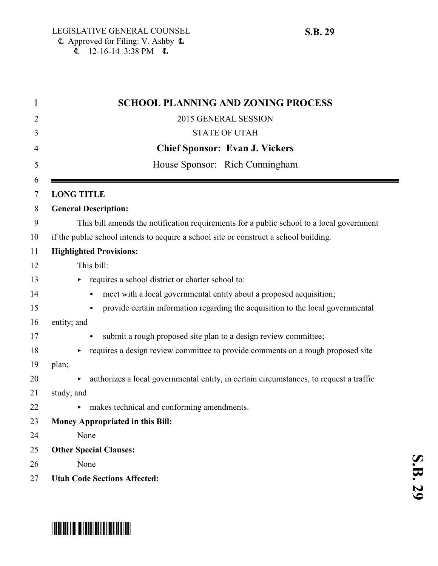**S.B.**

 

| $\mathbf{1}$ | <b>SCHOOL PLANNING AND ZONING PROCESS</b>                                                |
|--------------|------------------------------------------------------------------------------------------|
| 2            | 2015 GENERAL SESSION                                                                     |
| 3            | <b>STATE OF UTAH</b>                                                                     |
| 4            | <b>Chief Sponsor: Evan J. Vickers</b>                                                    |
| 5            | House Sponsor: Rich Cunningham                                                           |
| 6<br>7       | <b>LONG TITLE</b>                                                                        |
| 8            | <b>General Description:</b>                                                              |
| 9            | This bill amends the notification requirements for a public school to a local government |
| 10           | if the public school intends to acquire a school site or construct a school building.    |
| 11           | <b>Highlighted Provisions:</b>                                                           |
| 12           | This bill:                                                                               |
| 13           | requires a school district or charter school to:                                         |
| 14           | meet with a local governmental entity about a proposed acquisition;<br>$\bullet$         |
| 15           | provide certain information regarding the acquisition to the local governmental          |
| 16           | entity; and                                                                              |
| 17           | submit a rough proposed site plan to a design review committee;                          |
| 18           | requires a design review committee to provide comments on a rough proposed site          |
| 19           | plan;                                                                                    |
| 20           | authorizes a local governmental entity, in certain circumstances, to request a traffic   |
| 21           | study; and                                                                               |
| 22           | makes technical and conforming amendments.<br>▶                                          |
| 23           | <b>Money Appropriated in this Bill:</b>                                                  |
| 24           | None                                                                                     |
| 25           | <b>Other Special Clauses:</b>                                                            |
| 26           | None                                                                                     |
| 27           | <b>Utah Code Sections Affected:</b>                                                      |

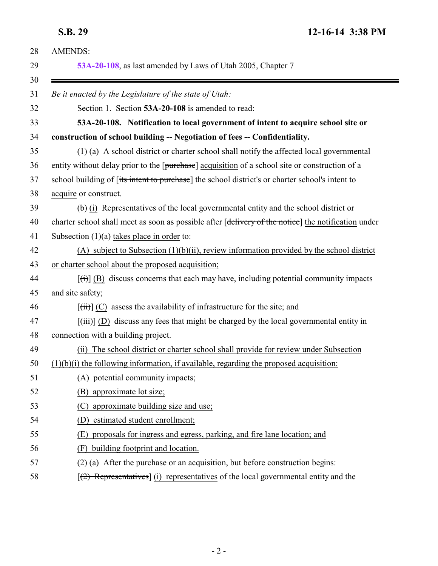<span id="page-1-0"></span>**S.B. 29 12-16-14 3:38 PM**

| <b>AMENDS:</b>                                                                                            |
|-----------------------------------------------------------------------------------------------------------|
| 53A-20-108, as last amended by Laws of Utah 2005, Chapter 7                                               |
| Be it enacted by the Legislature of the state of Utah:                                                    |
| Section 1. Section 53A-20-108 is amended to read:                                                         |
| 53A-20-108. Notification to local government of intent to acquire school site or                          |
| construction of school building -- Negotiation of fees -- Confidentiality.                                |
| (1) (a) A school district or charter school shall notify the affected local governmental                  |
| entity without delay prior to the [purchase] acquisition of a school site or construction of a            |
| school building of [its intent to purchase] the school district's or charter school's intent to           |
| acquire or construct.                                                                                     |
| (b) (i) Representatives of the local governmental entity and the school district or                       |
| charter school shall meet as soon as possible after [delivery of the notice] the notification under       |
| Subsection $(1)(a)$ takes place in order to:                                                              |
| $(A)$ subject to Subsection $(1)(b)(ii)$ , review information provided by the school district             |
| or charter school about the proposed acquisition;                                                         |
| $[\overrightarrow{(t)}]$ (B) discuss concerns that each may have, including potential community impacts   |
| and site safety;                                                                                          |
| $[\overrightarrow{tii}]$ (C) assess the availability of infrastructure for the site; and                  |
| $[\overrightarrow{tiii}]$ (D) discuss any fees that might be charged by the local governmental entity in  |
| connection with a building project.                                                                       |
| The school district or charter school shall provide for review under Subsection<br>(ii)                   |
| $(1)(b)(i)$ the following information, if available, regarding the proposed acquisition:                  |
| (A) potential community impacts;                                                                          |
| (B) approximate lot size;                                                                                 |
| approximate building size and use;<br>(C)                                                                 |
| estimated student enrollment;<br>(D)                                                                      |
| proposals for ingress and egress, parking, and fire lane location; and<br>(E)                             |
| building footprint and location.<br>(F)                                                                   |
| (2) (a) After the purchase or an acquisition, but before construction begins:                             |
| $\left[\frac{2}{2} \right]$ Representatives] (i) representatives of the local governmental entity and the |